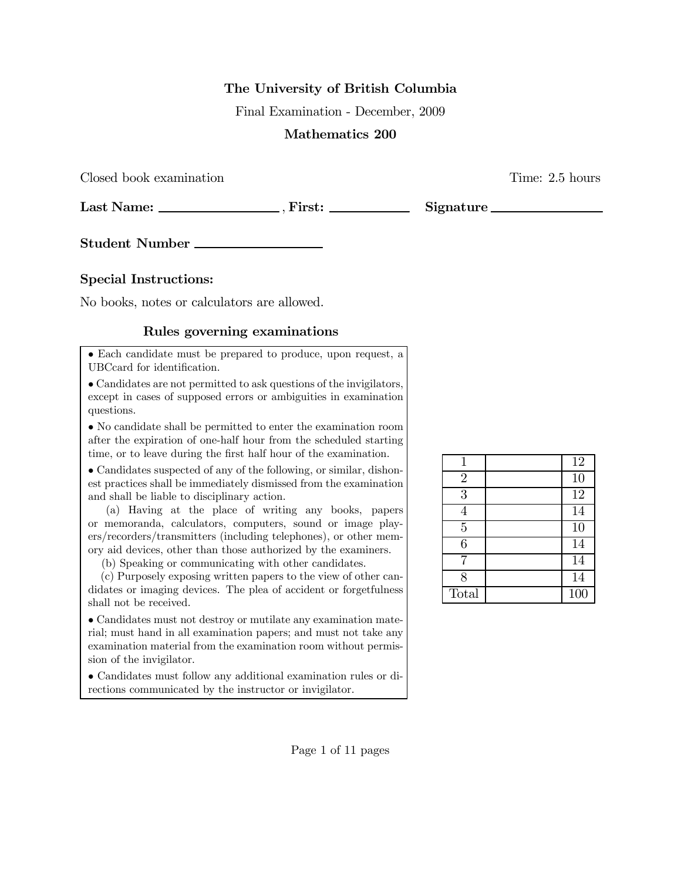## The University of British Columbia

Final Examination - December, 2009

## Mathematics 200

Closed book examination Time: 2.5 hours

Last Name: , First: Signature

Student Number

## Special Instructions:

No books, notes or calculators are allowed.

## Rules governing examinations

• Each candidate must be prepared to produce, upon request, a UBCcard for identification.

• Candidates are not permitted to ask questions of the invigilators, except in cases of supposed errors or ambiguities in examination questions.

• No candidate shall be permitted to enter the examination room after the expiration of one-half hour from the scheduled starting time, or to leave during the first half hour of the examination.

• Candidates suspected of any of the following, or similar, dishonest practices shall be immediately dismissed from the examination and shall be liable to disciplinary action.

(a) Having at the place of writing any books, papers or memoranda, calculators, computers, sound or image players/recorders/transmitters (including telephones), or other memory aid devices, other than those authorized by the examiners.

(b) Speaking or communicating with other candidates.

(c) Purposely exposing written papers to the view of other candidates or imaging devices. The plea of accident or forgetfulness shall not be received.

• Candidates must not destroy or mutilate any examination material; must hand in all examination papers; and must not take any examination material from the examination room without permission of the invigilator.

• Candidates must follow any additional examination rules or directions communicated by the instructor or invigilator.

|                | 12               |
|----------------|------------------|
| $\overline{2}$ | 10               |
| $\bar{3}$      | $\overline{12}$  |
| 4              | 14               |
| $\overline{5}$ | 10               |
| 6              | 14               |
|                | 14               |
| 8              | 14               |
| Total          | $\overline{100}$ |

Page 1 of 11 pages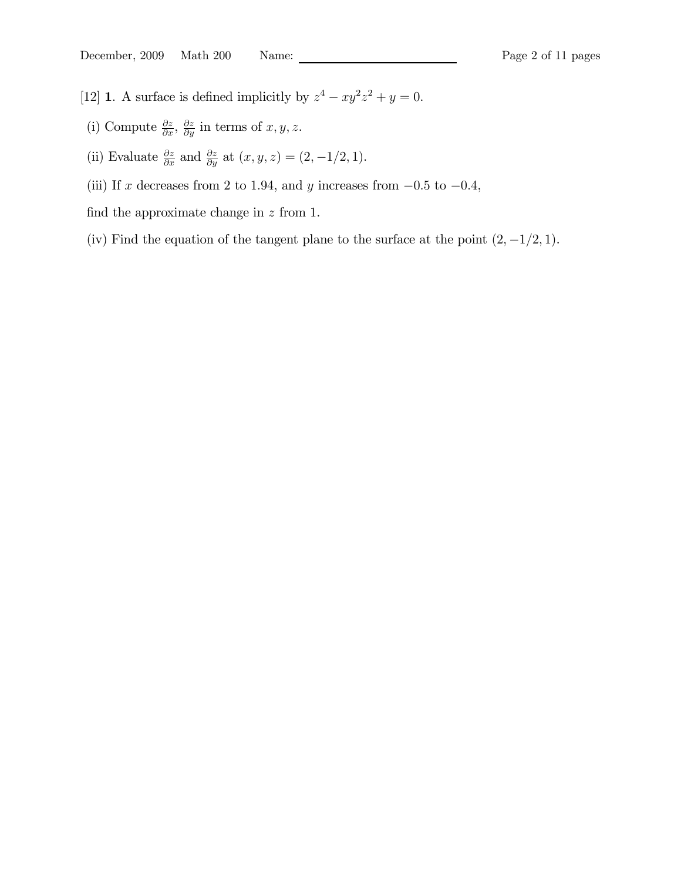- [12] 1. A surface is defined implicitly by  $z^4 xy^2z^2 + y = 0$ .
	- (i) Compute  $\frac{\partial z}{\partial x}$ ,  $\frac{\partial z}{\partial y}$  in terms of  $x, y, z$ .
	- (ii) Evaluate  $\frac{\partial z}{\partial x}$  and  $\frac{\partial z}{\partial y}$  at  $(x, y, z) = (2, -1/2, 1)$ .
- (iii) If x decreases from 2 to 1.94, and y increases from  $-0.5$  to  $-0.4$ ,

find the approximate change in z from 1.

(iv) Find the equation of the tangent plane to the surface at the point  $(2, -1/2, 1)$ .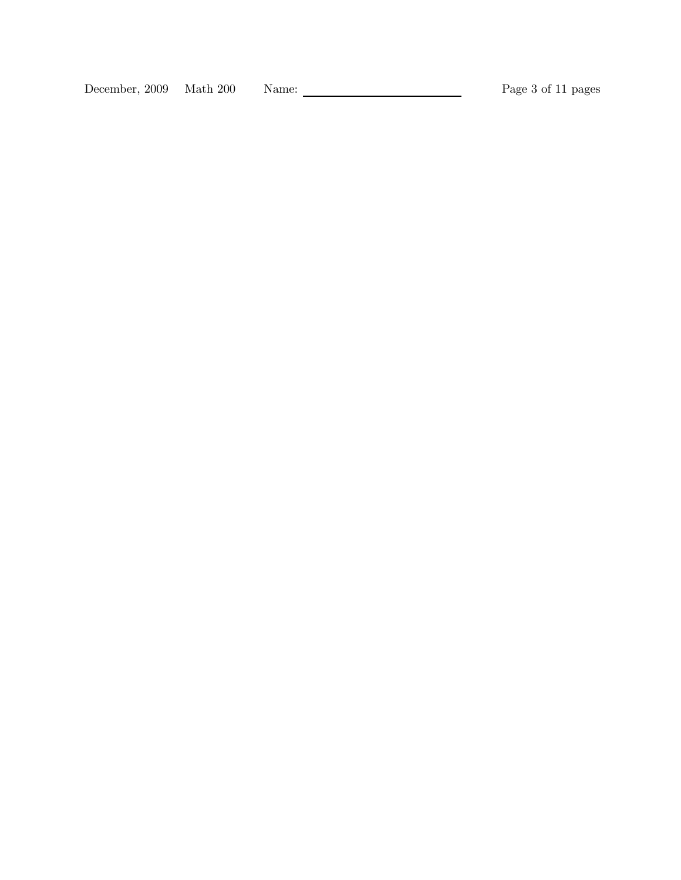December, 2009 Math 200 Name: Page 3 of 11 pages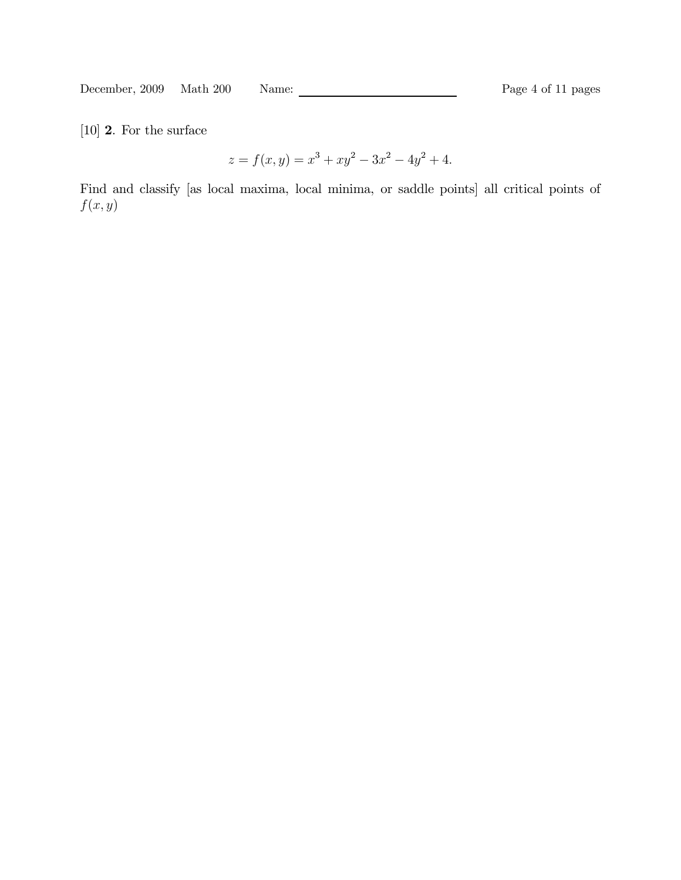December, 2009 Math 200 Name: Page 4 of 11 pages

[10] 2. For the surface

 $z = f(x, y) = x<sup>3</sup> + xy<sup>2</sup> - 3x<sup>2</sup> - 4y<sup>2</sup> + 4.$ 

Find and classify [as local maxima, local minima, or saddle points] all critical points of  $f(x, y)$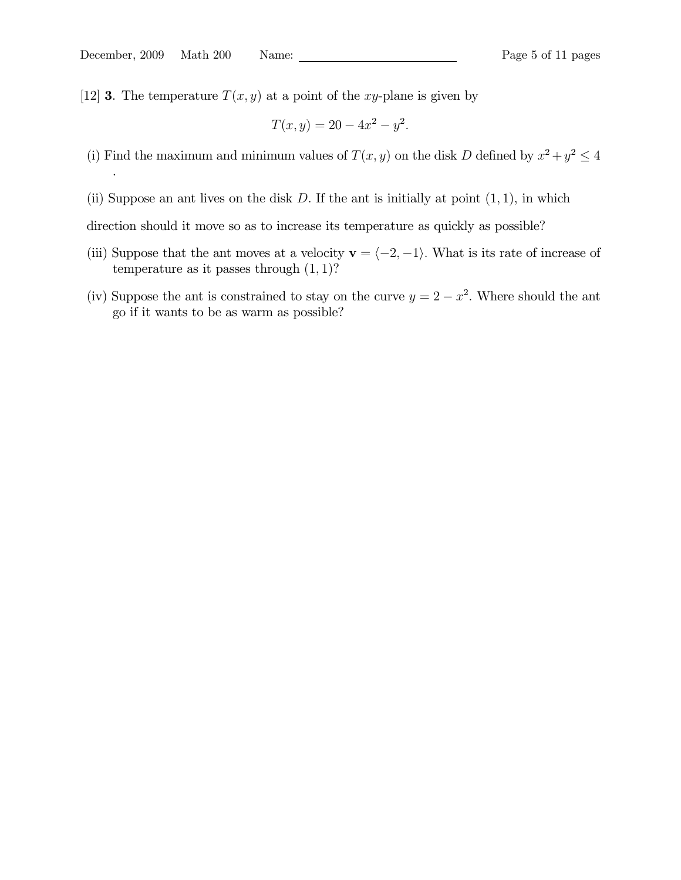.

[12] **3**. The temperature  $T(x, y)$  at a point of the xy-plane is given by

$$
T(x, y) = 20 - 4x^2 - y^2.
$$

(i) Find the maximum and minimum values of  $T(x, y)$  on the disk D defined by  $x^2 + y^2 \le 4$ 

(ii) Suppose an ant lives on the disk  $D$ . If the ant is initially at point  $(1, 1)$ , in which

direction should it move so as to increase its temperature as quickly as possible?

- (iii) Suppose that the ant moves at a velocity  $\mathbf{v} = \langle -2, -1 \rangle$ . What is its rate of increase of temperature as it passes through  $(1, 1)$ ?
- (iv) Suppose the ant is constrained to stay on the curve  $y = 2 x^2$ . Where should the ant go if it wants to be as warm as possible?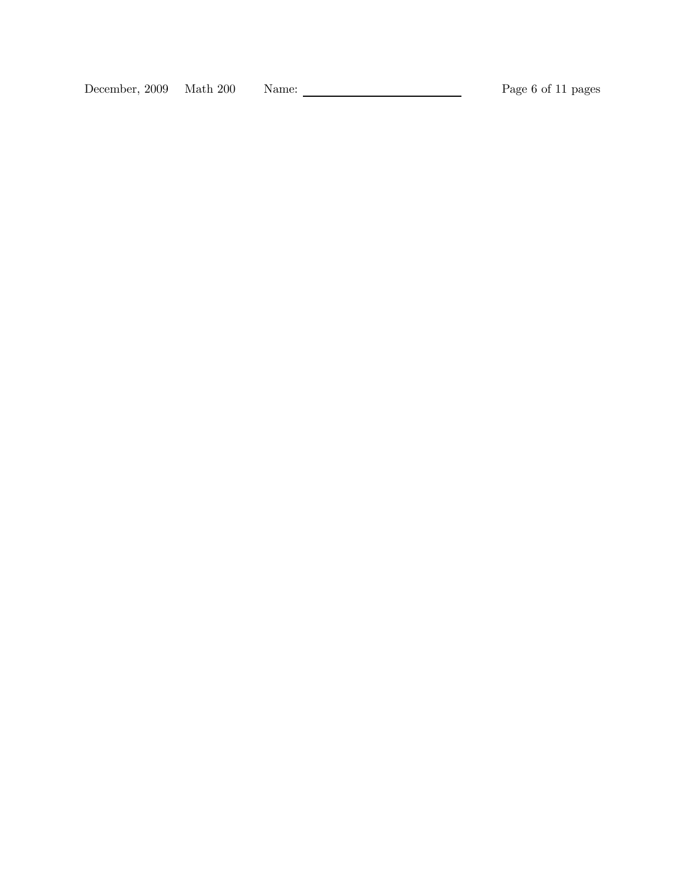December, 2009 Math 200 Name: Page 6 of 11 pages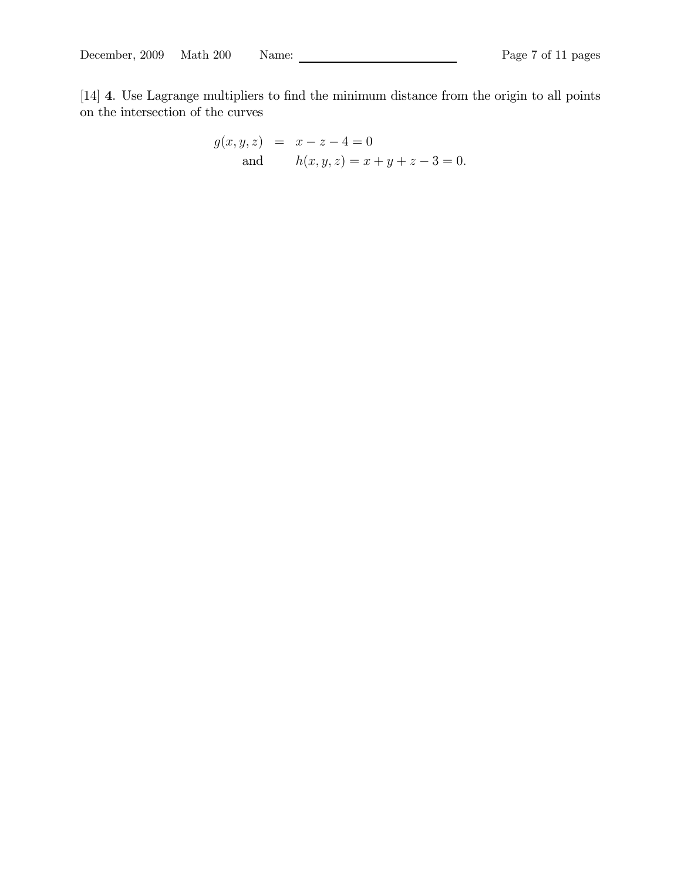[14] 4. Use Lagrange multipliers to find the minimum distance from the origin to all points on the intersection of the curves

$$
g(x, y, z) = x - z - 4 = 0
$$
  
and  $h(x, y, z) = x + y + z - 3 = 0$ .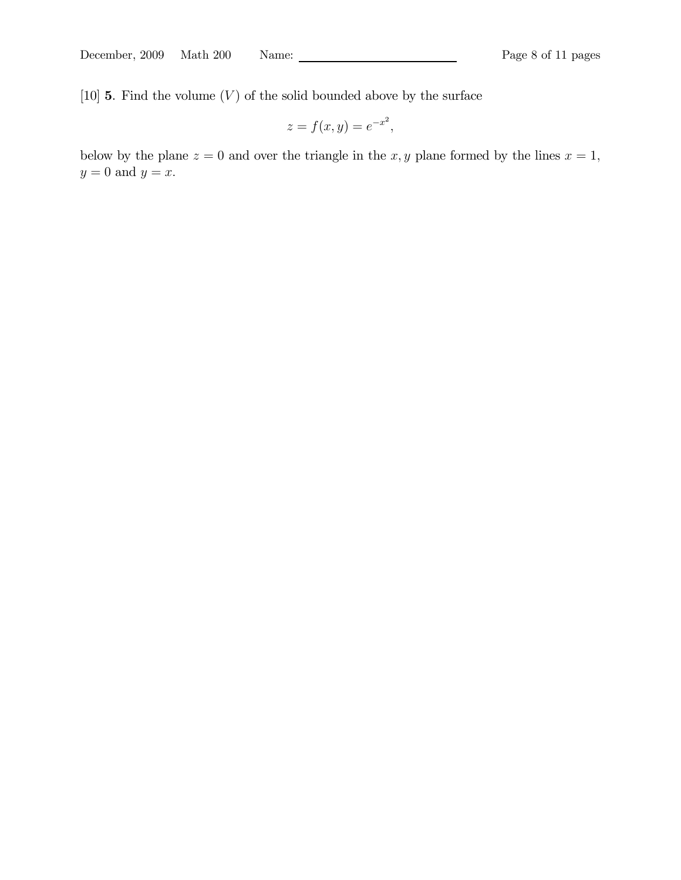[10] **5**. Find the volume  $(V)$  of the solid bounded above by the surface

$$
z = f(x, y) = e^{-x^2},
$$

below by the plane  $z = 0$  and over the triangle in the x, y plane formed by the lines  $x = 1$ ,  $y = 0$  and  $y = x$ .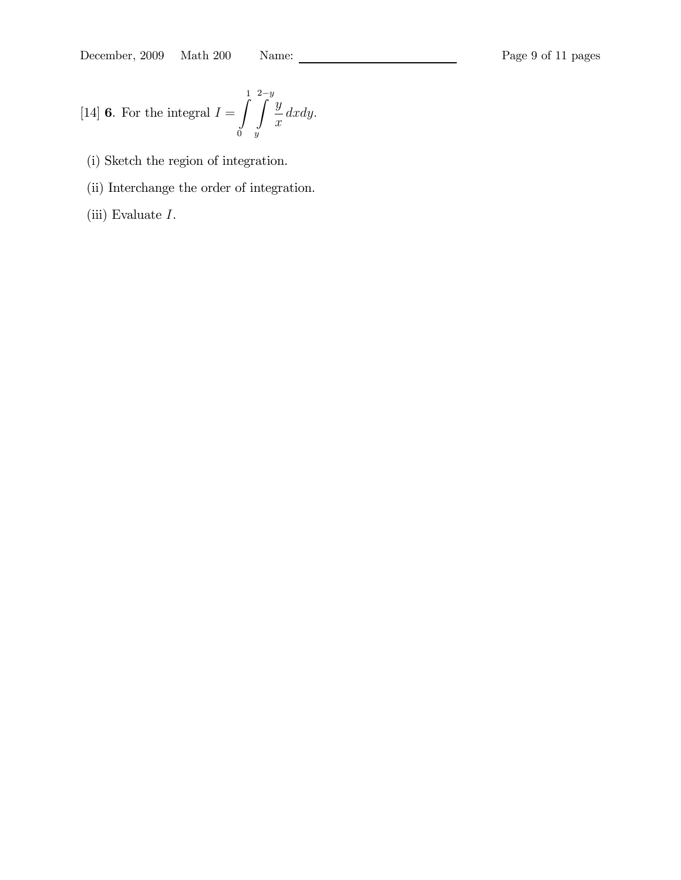December, 2009 Math 200 Name: Page 9 of 11 pages

[14] **6.** For the integral 
$$
I = \int_{0}^{1} \int_{y}^{2-y} \frac{y}{x} dx dy.
$$

- (i) Sketch the region of integration.
- (ii) Interchange the order of integration.
- (iii) Evaluate I.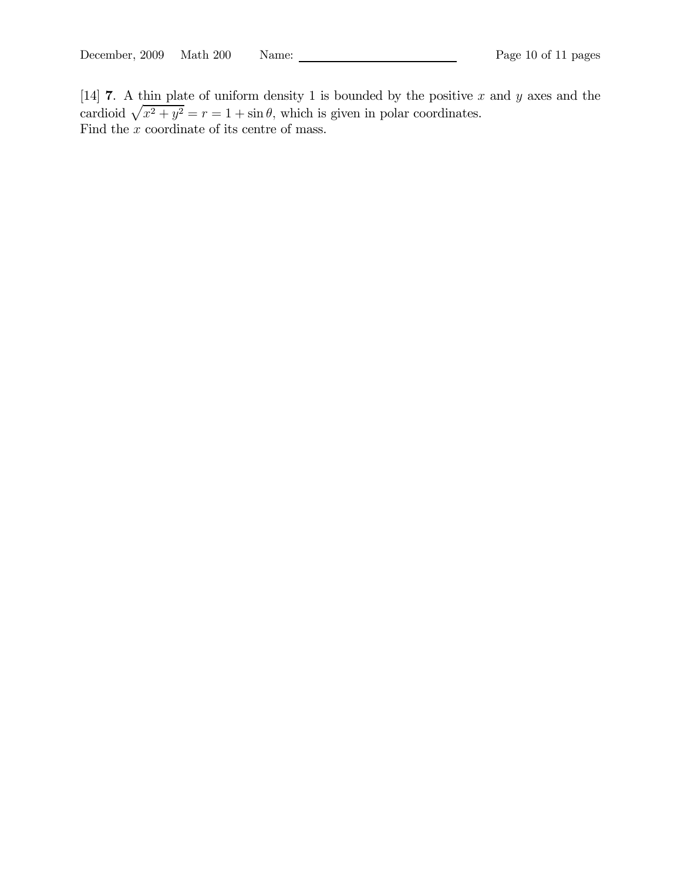[14] 7. A thin plate of uniform density 1 is bounded by the positive  $x$  and  $y$  axes and the cardioid  $\sqrt{x^2 + y^2} = r = 1 + \sin \theta$ , which is given in polar coordinates. Find the  $x$  coordinate of its centre of mass.